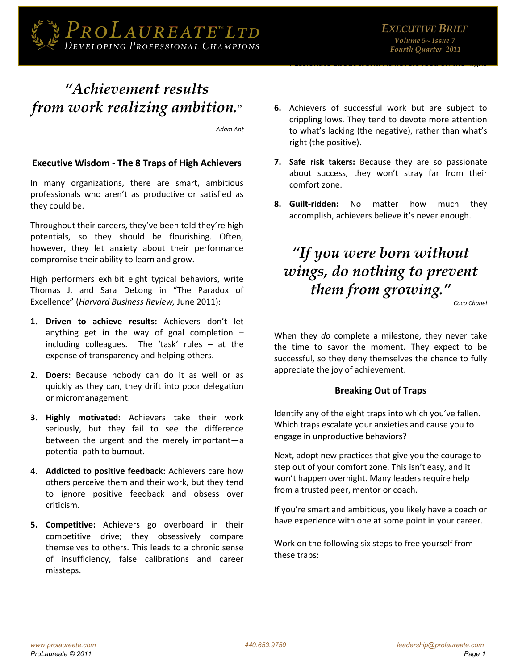

### "Achievement results" from work realizing ambition."

Adam Ant

#### **Executive Wisdom - The 8 Traps of High Achievers**

In many organizations, there are smart, ambitious professionals who aren't as productive or satisfied as they could be.

Throughout their careers, they've been told they're high potentials, so they should be flourishing. Often, however, they let anxiety about their performance compromise their ability to learn and grow.

High performers exhibit eight typical behaviors, write Thomas J. and Sara DeLong in "The Paradox of Excellence" (Harvard Business Review, June 2011):

- 1. Driven to achieve results: Achievers don't let anything get in the way of goal completion  $$ including colleagues. The 'task' rules - at the expense of transparency and helping others.
- 2. Doers: Because nobody can do it as well or as quickly as they can, they drift into poor delegation or micromanagement.
- 3. Highly motivated: Achievers take their work seriously, but they fail to see the difference between the urgent and the merely important-a potential path to burnout.
- 4. Addicted to positive feedback: Achievers care how others perceive them and their work, but they tend to ignore positive feedback and obsess over criticism.
- 5. Competitive: Achievers go overboard in their competitive drive; they obsessively compare themselves to others. This leads to a chronic sense of insufficiency, false calibrations and career missteps.
- 6. Achievers of successful work but are subject to crippling lows. They tend to devote more attention to what's lacking (the negative), rather than what's right (the positive).
- 7. Safe risk takers: Because they are so passionate about success, they won't stray far from their comfort zone.
- 8. Guilt-ridden: **No** matter how much they accomplish, achievers believe it's never enough.

## "If you were born without wings, do nothing to prevent them from growing."

Coco Chanel

When they do complete a milestone, they never take the time to savor the moment. They expect to be successful, so they deny themselves the chance to fully appreciate the joy of achievement.

#### **Breaking Out of Traps**

Identify any of the eight traps into which you've fallen. Which traps escalate your anxieties and cause you to engage in unproductive behaviors?

Next, adopt new practices that give you the courage to step out of your comfort zone. This isn't easy, and it won't happen overnight. Many leaders require help from a trusted peer, mentor or coach.

If you're smart and ambitious, you likely have a coach or have experience with one at some point in your career.

Work on the following six steps to free yourself from these traps: